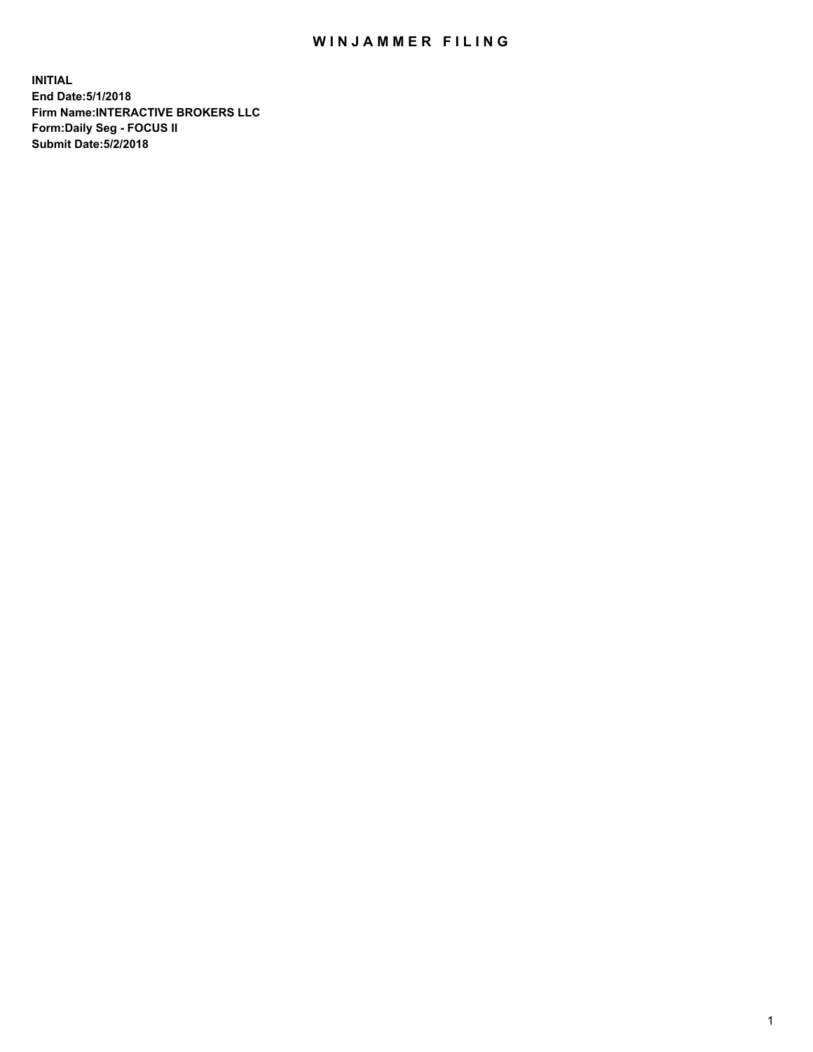## WIN JAMMER FILING

**INITIAL End Date:5/1/2018 Firm Name:INTERACTIVE BROKERS LLC Form:Daily Seg - FOCUS II Submit Date:5/2/2018**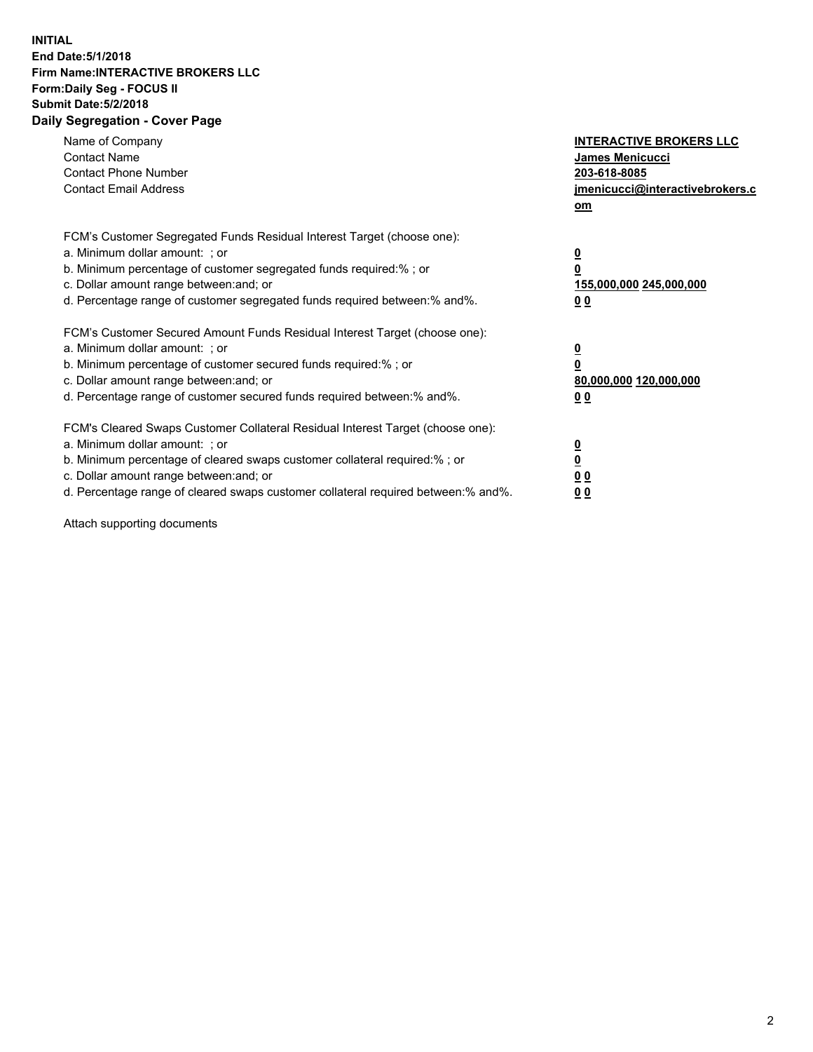## **INITIAL End Date:5/1/2018 Firm Name:INTERACTIVE BROKERS LLC Form:Daily Seg - FOCUS II Submit Date:5/2/2018 Daily Segregation - Cover Page**

| Name of Company<br><b>Contact Name</b><br><b>Contact Phone Number</b><br><b>Contact Email Address</b>                                                                                                                                                                                                                          | <b>INTERACTIVE BROKERS LLC</b><br><b>James Menicucci</b><br>203-618-8085<br>jmenicucci@interactivebrokers.c<br>om |
|--------------------------------------------------------------------------------------------------------------------------------------------------------------------------------------------------------------------------------------------------------------------------------------------------------------------------------|-------------------------------------------------------------------------------------------------------------------|
| FCM's Customer Segregated Funds Residual Interest Target (choose one):<br>a. Minimum dollar amount: ; or<br>b. Minimum percentage of customer segregated funds required:% ; or<br>c. Dollar amount range between: and; or<br>d. Percentage range of customer segregated funds required between: % and %.                       | $\overline{\mathbf{0}}$<br>0<br>155,000,000 245,000,000<br>00                                                     |
| FCM's Customer Secured Amount Funds Residual Interest Target (choose one):<br>a. Minimum dollar amount: ; or<br>b. Minimum percentage of customer secured funds required:%; or<br>c. Dollar amount range between: and; or<br>d. Percentage range of customer secured funds required between: % and %.                          | $\overline{\mathbf{0}}$<br>0<br>80,000,000 120,000,000<br>0 <sub>0</sub>                                          |
| FCM's Cleared Swaps Customer Collateral Residual Interest Target (choose one):<br>a. Minimum dollar amount: ; or<br>b. Minimum percentage of cleared swaps customer collateral required:% ; or<br>c. Dollar amount range between: and; or<br>d. Percentage range of cleared swaps customer collateral required between:% and%. | $\overline{\mathbf{0}}$<br>$\underline{\mathbf{0}}$<br>0 <sub>0</sub><br>0 <sub>0</sub>                           |

Attach supporting documents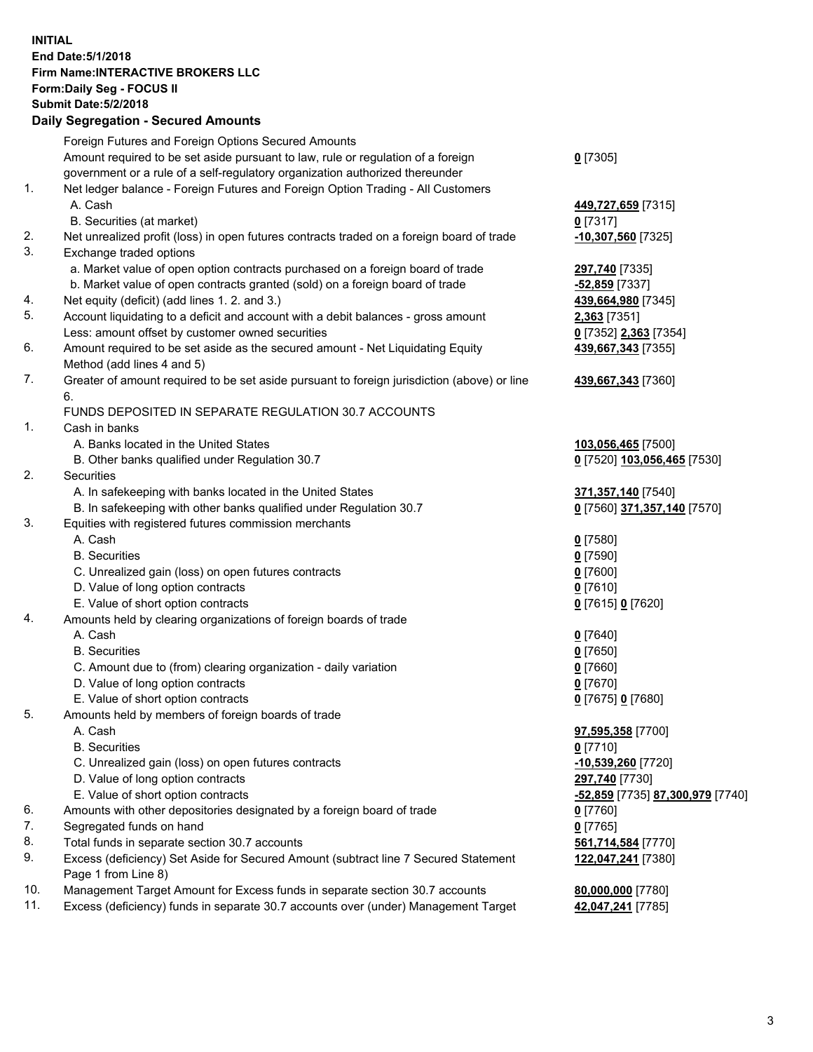## **INITIAL End Date:5/1/2018 Firm Name:INTERACTIVE BROKERS LLC Form:Daily Seg - FOCUS II Submit Date:5/2/2018 Daily Segregation - Secured Amounts**

|     | any ovgrogation oooaroa mnoant                                                              |                                  |
|-----|---------------------------------------------------------------------------------------------|----------------------------------|
|     | Foreign Futures and Foreign Options Secured Amounts                                         |                                  |
|     | Amount required to be set aside pursuant to law, rule or regulation of a foreign            | $0$ [7305]                       |
|     | government or a rule of a self-regulatory organization authorized thereunder                |                                  |
| 1.  | Net ledger balance - Foreign Futures and Foreign Option Trading - All Customers             |                                  |
|     | A. Cash                                                                                     | 449,727,659 [7315]               |
|     | B. Securities (at market)                                                                   | $0$ [7317]                       |
| 2.  | Net unrealized profit (loss) in open futures contracts traded on a foreign board of trade   | -10,307,560 [7325]               |
| 3.  | Exchange traded options                                                                     |                                  |
|     | a. Market value of open option contracts purchased on a foreign board of trade              | 297,740 [7335]                   |
|     | b. Market value of open contracts granted (sold) on a foreign board of trade                | $-52,859$ [7337]                 |
| 4.  | Net equity (deficit) (add lines 1.2. and 3.)                                                | 439,664,980 [7345]               |
| 5.  | Account liquidating to a deficit and account with a debit balances - gross amount           | <b>2,363</b> [7351]              |
|     | Less: amount offset by customer owned securities                                            | 0 [7352] 2,363 [7354]            |
| 6.  | Amount required to be set aside as the secured amount - Net Liquidating Equity              | 439,667,343 [7355]               |
|     | Method (add lines 4 and 5)                                                                  |                                  |
| 7.  | Greater of amount required to be set aside pursuant to foreign jurisdiction (above) or line | 439,667,343 [7360]               |
|     | 6.                                                                                          |                                  |
|     | FUNDS DEPOSITED IN SEPARATE REGULATION 30.7 ACCOUNTS                                        |                                  |
| 1.  | Cash in banks                                                                               |                                  |
|     | A. Banks located in the United States                                                       | 103,056,465 [7500]               |
|     | B. Other banks qualified under Regulation 30.7                                              | 0 [7520] 103,056,465 [7530]      |
| 2.  | <b>Securities</b>                                                                           |                                  |
|     | A. In safekeeping with banks located in the United States                                   | 371,357,140 [7540]               |
|     | B. In safekeeping with other banks qualified under Regulation 30.7                          | 0 [7560] 371,357,140 [7570]      |
| 3.  | Equities with registered futures commission merchants                                       |                                  |
|     | A. Cash                                                                                     | $0$ [7580]                       |
|     | <b>B.</b> Securities                                                                        | $0$ [7590]                       |
|     | C. Unrealized gain (loss) on open futures contracts                                         | $0$ [7600]                       |
|     | D. Value of long option contracts                                                           | $0$ [7610]                       |
|     | E. Value of short option contracts                                                          | 0 [7615] 0 [7620]                |
| 4.  | Amounts held by clearing organizations of foreign boards of trade                           |                                  |
|     | A. Cash                                                                                     | $0$ [7640]                       |
|     | <b>B.</b> Securities                                                                        | $0$ [7650]                       |
|     | C. Amount due to (from) clearing organization - daily variation                             | $0$ [7660]                       |
|     | D. Value of long option contracts                                                           | $0$ [7670]                       |
|     | E. Value of short option contracts                                                          | 0 [7675] 0 [7680]                |
| 5.  | Amounts held by members of foreign boards of trade                                          |                                  |
|     | A. Cash                                                                                     | 97,595,358 [7700]                |
|     | <b>B.</b> Securities                                                                        | $0$ [7710]                       |
|     | C. Unrealized gain (loss) on open futures contracts                                         | 10,539,260 [7720]                |
|     | D. Value of long option contracts                                                           | 297,740 [7730]                   |
|     | E. Value of short option contracts                                                          | -52,859 [7735] 87,300,979 [7740] |
| 6.  | Amounts with other depositories designated by a foreign board of trade                      | $0$ [7760]                       |
| 7.  | Segregated funds on hand                                                                    | $0$ [7765]                       |
| 8.  | Total funds in separate section 30.7 accounts                                               | 561,714,584 [7770]               |
| 9.  | Excess (deficiency) Set Aside for Secured Amount (subtract line 7 Secured Statement         | 122,047,241 [7380]               |
|     | Page 1 from Line 8)                                                                         |                                  |
| 10. | Management Target Amount for Excess funds in separate section 30.7 accounts                 | 80,000,000 [7780]                |
| 11. | Excess (deficiency) funds in separate 30.7 accounts over (under) Management Target          | 42,047,241 [7785]                |
|     |                                                                                             |                                  |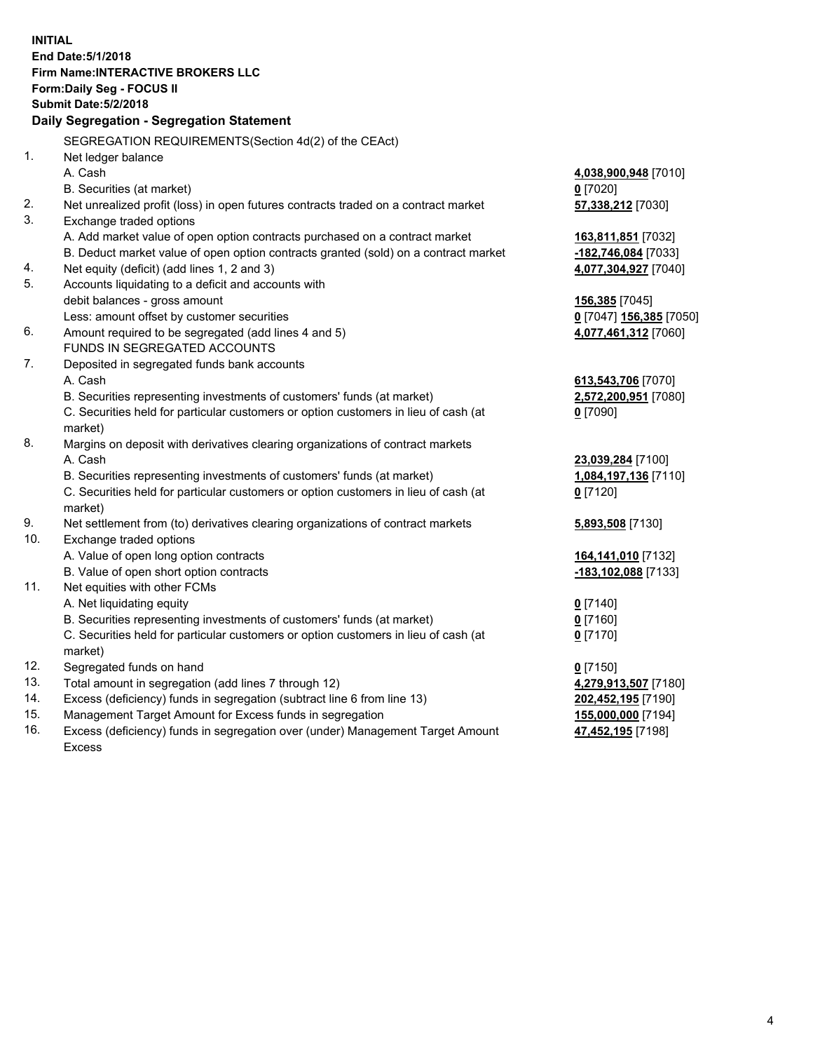**INITIAL End Date:5/1/2018 Firm Name:INTERACTIVE BROKERS LLC Form:Daily Seg - FOCUS II Submit Date:5/2/2018 Daily Segregation - Segregation Statement** SEGREGATION REQUIREMENTS(Section 4d(2) of the CEAct) 1. Net ledger balance A. Cash **4,038,900,948** [7010] B. Securities (at market) **0** [7020] 2. Net unrealized profit (loss) in open futures contracts traded on a contract market **57,338,212** [7030] 3. Exchange traded options A. Add market value of open option contracts purchased on a contract market **163,811,851** [7032] B. Deduct market value of open option contracts granted (sold) on a contract market **-182,746,084** [7033] 4. Net equity (deficit) (add lines 1, 2 and 3) **4,077,304,927** [7040] 5. Accounts liquidating to a deficit and accounts with debit balances - gross amount **156,385** [7045] Less: amount offset by customer securities **0** [7047] **156,385** [7050] 6. Amount required to be segregated (add lines 4 and 5) **4,077,461,312** [7060] FUNDS IN SEGREGATED ACCOUNTS 7. Deposited in segregated funds bank accounts A. Cash **613,543,706** [7070] B. Securities representing investments of customers' funds (at market) **2,572,200,951** [7080] C. Securities held for particular customers or option customers in lieu of cash (at market) **0** [7090] 8. Margins on deposit with derivatives clearing organizations of contract markets A. Cash **23,039,284** [7100] B. Securities representing investments of customers' funds (at market) **1,084,197,136** [7110] C. Securities held for particular customers or option customers in lieu of cash (at market) **0** [7120] 9. Net settlement from (to) derivatives clearing organizations of contract markets **5,893,508** [7130] 10. Exchange traded options A. Value of open long option contracts **164,141,010** [7132] B. Value of open short option contracts **-183,102,088** [7133] 11. Net equities with other FCMs A. Net liquidating equity **0** [7140] B. Securities representing investments of customers' funds (at market) **0** [7160] C. Securities held for particular customers or option customers in lieu of cash (at market) **0** [7170] 12. Segregated funds on hand **0** [7150] 13. Total amount in segregation (add lines 7 through 12) **4,279,913,507** [7180] 14. Excess (deficiency) funds in segregation (subtract line 6 from line 13) **202,452,195** [7190] 15. Management Target Amount for Excess funds in segregation **155,000,000** [7194] **47,452,195** [7198]

16. Excess (deficiency) funds in segregation over (under) Management Target Amount Excess